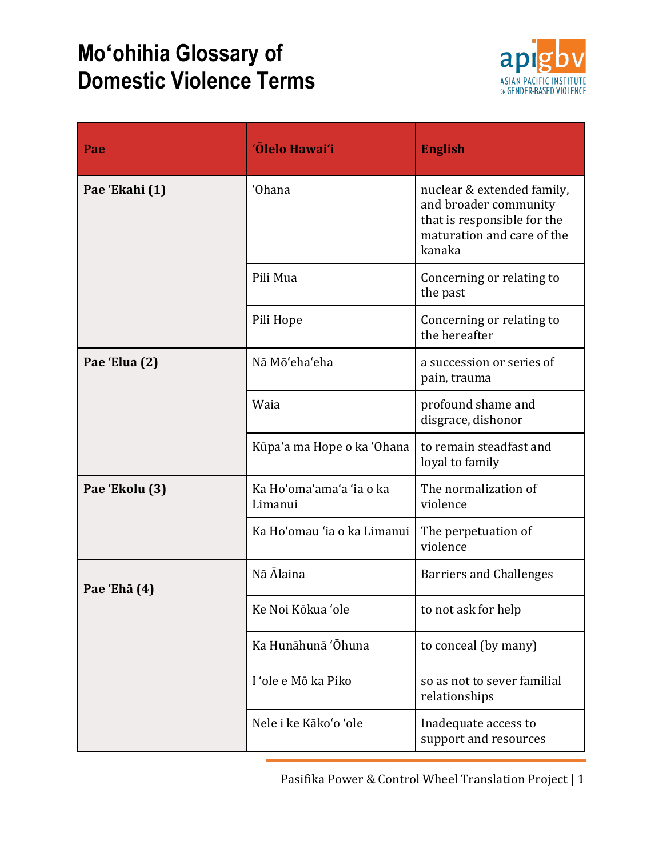## **Moʻohihia Glossary of Domestic Violence Terms**



| Pae            | 'Ōlelo Hawai'i                      | <b>English</b>                                                                                                             |
|----------------|-------------------------------------|----------------------------------------------------------------------------------------------------------------------------|
| Pae 'Ekahi (1) | 'Ohana                              | nuclear & extended family,<br>and broader community<br>that is responsible for the<br>maturation and care of the<br>kanaka |
|                | Pili Mua                            | Concerning or relating to<br>the past                                                                                      |
|                | Pili Hope                           | Concerning or relating to<br>the hereafter                                                                                 |
| Pae 'Elua (2)  | Nā Mō'eha'eha                       | a succession or series of<br>pain, trauma                                                                                  |
|                | Waia                                | profound shame and<br>disgrace, dishonor                                                                                   |
|                | Kūpa'a ma Hope o ka 'Ohana          | to remain steadfast and<br>loyal to family                                                                                 |
| Pae 'Ekolu (3) | Ka Ho'oma'ama'a 'ia o ka<br>Limanui | The normalization of<br>violence                                                                                           |
|                | Ka Ho'omau 'ia o ka Limanui         | The perpetuation of<br>violence                                                                                            |
| Pae 'Ehā (4)   | Nā Ālaina                           | <b>Barriers and Challenges</b>                                                                                             |
|                | Ke Noi Kōkua 'ole                   | to not ask for help                                                                                                        |
|                | Ka Hunāhunā 'Ōhuna                  | to conceal (by many)                                                                                                       |
|                | I 'ole e Mō ka Piko                 | so as not to sever familial<br>relationships                                                                               |
|                | Nele i ke Kāko'o 'ole               | Inadequate access to<br>support and resources                                                                              |

Pasifika Power & Control Wheel Translation Project | 1